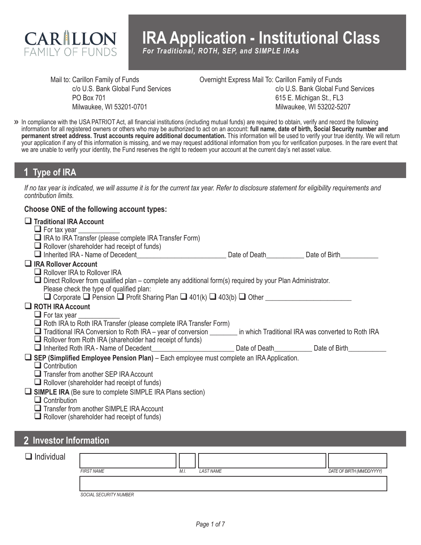

# **IRA Application - Institutional Class**

*For Traditional, ROTH, SEP, and SIMPLE IRAs*

Mail to: Carillon Family of Funds c/o U.S. Bank Global Fund Services PO Box 701 Milwaukee, WI 53201-0701

Overnight Express Mail To: Carillon Family of Funds c/o U.S. Bank Global Fund Services 615 E. Michigan St., FL3 Milwaukee, WI 53202-5207

In compliance with the USA PATRIOT Act, all financial institutions (including mutual funds) are required to obtain, verify and record the following **>>** information for all registered owners or others who may be authorized to act on an account: **full name, date of birth, Social Security number and permanent street address. Trust accounts require additional documentation.** This information will be used to verify your true identity. We will return your application if any of this information is missing, and we may request additional information from you for verification purposes. In the rare event that we are unable to verify your identity, the Fund reserves the right to redeem your account at the current day's net asset value.

## **1 Type of IRA**

*If no tax year is indicated, we will assume it is for the current tax year. Refer to disclosure statement for eligibility requirements and contribution limits.*

#### **Choose ONE of the following account types:**

| $\Box$ Traditional IRA Account                                                                                    |                             |  |
|-------------------------------------------------------------------------------------------------------------------|-----------------------------|--|
| $\Box$ For tax year $\Box$                                                                                        |                             |  |
| □ IRA to IRA Transfer (please complete IRA Transfer Form)                                                         |                             |  |
| $\Box$ Rollover (shareholder had receipt of funds)                                                                |                             |  |
| $\Box$ Inherited IRA - Name of Decedent                                                                           | Date of Death Date of Birth |  |
| $\Box$ IRA Rollover Account                                                                                       |                             |  |
| $\Box$ Rollover IRA to Rollover IRA                                                                               |                             |  |
| $\Box$ Direct Rollover from qualified plan – complete any additional form(s) required by your Plan Administrator. |                             |  |
| Please check the type of qualified plan:                                                                          |                             |  |
| □ Corporate □ Pension □ Profit Sharing Plan □ 401(k) □ 403(b) □ Other                                             |                             |  |
| $\Box$ ROTH IRA Account                                                                                           |                             |  |
| $\Box$ For tax year                                                                                               |                             |  |
|                                                                                                                   |                             |  |
| $\Box$ Roth IRA to Roth IRA Transfer (please complete IRA Transfer Form)                                          |                             |  |
| Traditional IRA Conversion to Roth IRA – year of conversion in which Traditional IRA was converted to Roth IRA    |                             |  |
| $\Box$ Rollover from Roth IRA (shareholder had receipt of funds)                                                  |                             |  |
| □ Inherited Roth IRA - Name of Decedent Communication Date of Death Date of Death Date of Birth                   |                             |  |
| $\Box$ SEP (Simplified Employee Pension Plan) – Each employee must complete an IRA Application.                   |                             |  |
| $\Box$ Contribution                                                                                               |                             |  |
| $\Box$ Transfer from another SEP IRA Account                                                                      |                             |  |
| $\Box$ Rollover (shareholder had receipt of funds)                                                                |                             |  |
| $\Box$ SIMPLE IRA (Be sure to complete SIMPLE IRA Plans section)                                                  |                             |  |
| $\Box$ Contribution                                                                                               |                             |  |
| Transfer from another SIMPLE IRA Account<br>$\Box$ Rollover (shareholder had receipt of funds)                    |                             |  |

## **2 Investor Information**

| Individual |                        |      |                  |                            |
|------------|------------------------|------|------------------|----------------------------|
|            | <b>FIRST NAME</b>      | M.I. | <b>LAST NAME</b> | DATE OF BIRTH (MM/DD/YYYY) |
|            |                        |      |                  |                            |
|            |                        |      |                  |                            |
|            | SOCIAL SECURITY NUMBER |      |                  |                            |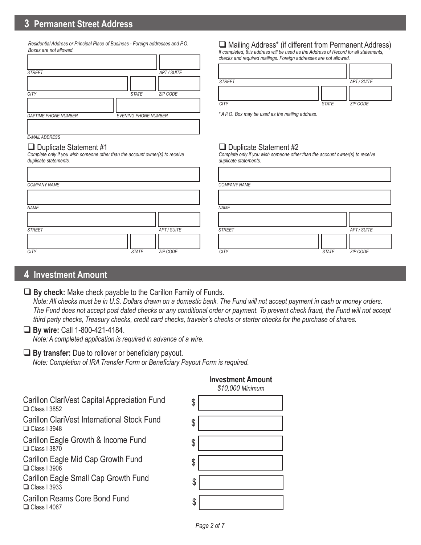## **3 Permanent Street Address**

*Residential Address or Principal Place of Business - Foreign addresses and P.O. Boxes are not allowed.*

| <b>STREET</b>               | APT/SUITE                   |
|-----------------------------|-----------------------------|
|                             |                             |
| <b>CITY</b>                 | ZIP CODE<br><b>STATE</b>    |
|                             |                             |
| <b>DAYTIME PHONE NUMBER</b> | <b>EVENING PHONE NUMBER</b> |
| <b>E-MAIL ADDRESS</b>       |                             |

## $\Box$  Duplicate Statement #1

*Complete only if you wish someone other than the account owner(s) to receive duplicate statements.*

| <b>COMPANY NAME</b> |              |             | <b>COMPAI</b> |
|---------------------|--------------|-------------|---------------|
|                     |              |             |               |
| <b>NAME</b>         |              |             | <b>NAME</b>   |
|                     |              |             |               |
| <b>STREET</b>       |              | APT / SUITE | <b>STREET</b> |
| <b>CITY</b>         | <b>STATE</b> | ZIP CODE    | <b>CITY</b>   |

#### $\Box$  Mailing Address\* (if different from Permanent Address)

*If completed, this address will be used as the Address of Record for all statements, checks and required mailings. Foreign addresses are not allowed.*

| <b>STREET</b> |              | APT / SUITE     |
|---------------|--------------|-----------------|
|               |              |                 |
| <b>CITY</b>   | <b>STATE</b> | <b>ZIP CODE</b> |

*\* A P.O. Box may be used as the mailing address.*

#### $\Box$  Duplicate Statement #2

*Complete only if you wish someone other than the account owner(s) to receive duplicate statements.*

|                          | <b>COMPANY NAME</b>         |             |
|--------------------------|-----------------------------|-------------|
|                          |                             |             |
|                          | <b>NAME</b>                 |             |
|                          |                             |             |
| APT / SUITE              | <b>STREET</b>               | APT / SUITE |
| <b>STATE</b><br>ZIP CODE | <b>CITY</b><br><b>STATE</b> | ZIP CODE    |

## **4 Investment Amount**

#### **By check:** Make check payable to the Carillon Family of Funds.

 *Note: All checks must be in U.S. Dollars drawn on a domestic bank. The Fund will not accept payment in cash or money orders. The Fund does not accept post dated checks or any conditional order or payment. To prevent check fraud, the Fund will not accept third party checks, Treasury checks, credit card checks, traveler's checks or starter checks for the purchase of shares.*

#### **By wire:** Call 1-800-421-4184.

*Note: A completed application is required in advance of a wire.*

#### **By transfer:** Due to rollover or beneficiary payout.

*Note: Completion of IRA Transfer Form or Beneficiary Payout Form is required.*

Carillon ClariVest Capital Appreciation Fund  $\Box$  Class I 3852

Carillon ClariVest International Stock Fund  $\Box$  Class I 3948

Carillon Eagle Growth & Income Fund  $\Box$  Class I 3870

Carillon Eagle Mid Cap Growth Fund  $\Box$  Class I 3906

Carillon Eagle Small Cap Growth Fund  $\Box$  Class I 3933

Carillon Reams Core Bond Fund<br>
and the second function of the second second second second second second second second second second second s  $\Box$  Class I 4067



### **Investment Amount**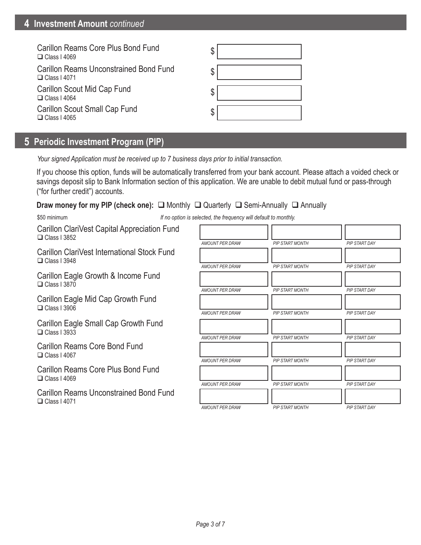| Carillon Reams Core Plus Bond Fund<br>$\Box$ Class I 4069            |  |
|----------------------------------------------------------------------|--|
| <b>Carillon Reams Unconstrained Bond Fund</b><br>$\Box$ Class I 4071 |  |
| Carillon Scout Mid Cap Fund<br>$\Box$ Class I 4064                   |  |
| Carillon Scout Small Cap Fund<br>$\Box$ Class I 4065                 |  |

# **5 Periodic Investment Program (PIP)**

*Your signed Application must be received up to 7 business days prior to initial transaction.*

If you choose this option, funds will be automatically transferred from your bank account. Please attach a voided check or savings deposit slip to Bank Information section of this application. We are unable to debit mutual fund or pass-through ("for further credit") accounts.

#### **Draw money for my PIP (check one):** □ Monthly □ Quarterly □ Semi-Annually □ Annually

\$50 minimum *If no option is selected, the frequency will default to monthly.*

Carillon ClariVest Capital Appreciation Fund  $\Box$  Class I 3852

Carillon ClariVest International Stock Fund  $\Box$  Class I 3948

Carillon Eagle Growth & Income Fund  $\Box$  Class I 3870

Carillon Eagle Mid Cap Growth Fund  $\Box$  Class I 3906

Carillon Eagle Small Cap Growth Fund  $\Box$  Class I 3933

Carillon Reams Core Bond Fund  $\Box$  Class I 4067

Carillon Reams Core Plus Bond Fund  $\Box$  Class I 4069

Carillon Reams Unconstrained Bond Fund  $\Box$  Class I 4071

| <b>AMOUNT PER DRAW</b> | <b>PIP START MONTH</b> | PIP START DAY        |
|------------------------|------------------------|----------------------|
|                        |                        |                      |
| <b>AMOUNT PER DRAW</b> | <b>PIP START MONTH</b> | PIP START DAY        |
|                        |                        |                      |
| <b>AMOUNT PER DRAW</b> | <b>PIP START MONTH</b> | PIP START DAY        |
|                        |                        |                      |
| <b>AMOUNT PER DRAW</b> | <b>PIP START MONTH</b> | <b>PIP START DAY</b> |
|                        |                        |                      |
| <b>AMOUNT PER DRAW</b> | <b>PIP START MONTH</b> | <b>PIP START DAY</b> |
|                        |                        |                      |
| <b>AMOUNT PER DRAW</b> | <b>PIP START MONTH</b> | PIP START DAY        |
|                        |                        |                      |
| <b>AMOUNT PER DRAW</b> | <b>PIP START MONTH</b> | <b>PIP START DAY</b> |
|                        |                        |                      |
| <b>AMOUNT PER DRAW</b> | <b>PIP START MONTH</b> | PIP START DAY        |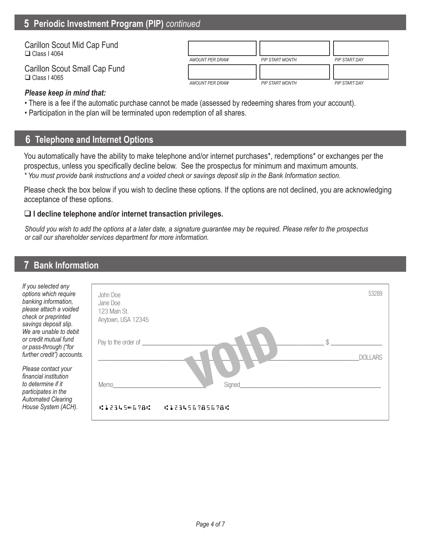## **5 Periodic Investment Program (PIP)** *continued*

| Carillon Scout Mid Cap Fund<br>$\Box$ Class I 4064   | AMOUNT PER DRAW | <b>PIP START MONTH</b> | PIP START DAY |
|------------------------------------------------------|-----------------|------------------------|---------------|
| Carillon Scout Small Cap Fund<br>$\Box$ Class I 4065 | AMOUNT PER DRAW | <b>PIP START MONTH</b> | PIP START DAY |

#### *Please keep in mind that:*

- There is a fee if the automatic purchase cannot be made (assessed by redeeming shares from your account).
- Participation in the plan will be terminated upon redemption of all shares.

## **6 Telephone and Internet Options**

You automatically have the ability to make telephone and/or internet purchases\*, redemptions\* or exchanges per the prospectus, unless you specifically decline below. See the prospectus for minimum and maximum amounts. *\* You must provide bank instructions and a voided check or savings deposit slip in the Bank Information section.*

Please check the box below if you wish to decline these options. If the options are not declined, you are acknowledging acceptance of these options.

#### **I decline telephone and/or internet transaction privileges.**

*Should you wish to add the options at a later date, a signature guarantee may be required. Please refer to the prospectus or call our shareholder services department for more information.*

## **7 Bank Information**

| If you selected any<br>options which require<br>banking information,<br>please attach a voided<br>check or preprinted<br>savings deposit slip.<br>We are unable to debit<br>or credit mutual fund<br>or pass-through ("for | John Doe<br>Jane Doe<br>123 Main St.<br>Anytown, USA 12345<br>Pay to the order of<br>¢ | 53289          |
|----------------------------------------------------------------------------------------------------------------------------------------------------------------------------------------------------------------------------|----------------------------------------------------------------------------------------|----------------|
| further credit") accounts.<br>Please contact your<br>financial institution                                                                                                                                                 |                                                                                        | <b>DOLLARS</b> |
| to determine if it<br>participates in the<br><b>Automated Clearing</b><br>House System (ACH).                                                                                                                              | Signed<br>Memo<br>41234506786<br><b>CI23456785678C</b>                                 |                |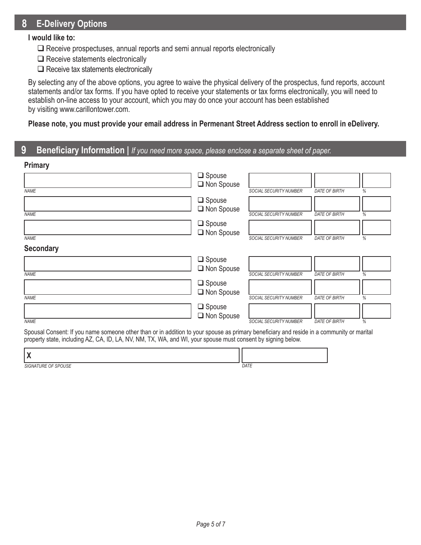## **8 E-Delivery Options**

#### **I would like to:**

- $\square$  Receive prospectuses, annual reports and semi annual reports electronically
- $\Box$  Receive statements electronically
- $\Box$  Receive tax statements electronically

By selecting any of the above options, you agree to waive the physical delivery of the prospectus, fund reports, account statements and/or tax forms. If you have opted to receive your statements or tax forms electronically, you will need to establish on-line access to your account, which you may do once your account has been established by visiting www.carillontower.com.

#### **Please note, you must provide your email address in Permenant Street Address section to enroll in eDelivery.**

# **9 Beneficiary Information |** *If you need more space, please enclose a separate sheet of paper.*

| <b>Primary</b>   |               |                               |                      |   |
|------------------|---------------|-------------------------------|----------------------|---|
|                  | $\Box$ Spouse |                               |                      |   |
|                  | Non Spouse    |                               |                      |   |
| <b>NAME</b>      |               | SOCIAL SECURITY NUMBER        | <b>DATE OF BIRTH</b> | % |
|                  | $\Box$ Spouse |                               |                      |   |
|                  | □ Non Spouse  |                               |                      |   |
| <b>NAME</b>      |               | SOCIAL SECURITY NUMBER        | <b>DATE OF BIRTH</b> | % |
|                  | $\Box$ Spouse |                               |                      |   |
|                  | Non Spouse    |                               |                      |   |
| <b>NAME</b>      |               | <b>SOCIAL SECURITY NUMBER</b> | <b>DATE OF BIRTH</b> | % |
| <b>Secondary</b> |               |                               |                      |   |
|                  | $\Box$ Spouse |                               |                      |   |
|                  | Non Spouse    |                               |                      |   |
| <b>NAME</b>      |               | SOCIAL SECURITY NUMBER        | <b>DATE OF BIRTH</b> | % |
|                  | $\Box$ Spouse |                               |                      |   |
|                  | Non Spouse    |                               |                      |   |
| <b>NAME</b>      |               | <b>SOCIAL SECURITY NUMBER</b> | <b>DATE OF BIRTH</b> | % |
|                  | $\Box$ Spouse |                               |                      |   |
|                  | Non Spouse    |                               |                      |   |
| <b>NAME</b>      |               | <b>SOCIAL SECURITY NUMBER</b> | <b>DATE OF BIRTH</b> | % |

Spousal Consent: If you name someone other than or in addition to your spouse as primary beneficiary and reside in a community or marital property state, including AZ, CA, ID, LA, NV, NM, TX, WA, and WI, your spouse must consent by signing below.

| $\mathbf{1}$<br>.                                 |      |
|---------------------------------------------------|------|
| CDOLICE<br><b>TIRF</b><br><b>SIGNAT</b><br>L<br>╰ | DATE |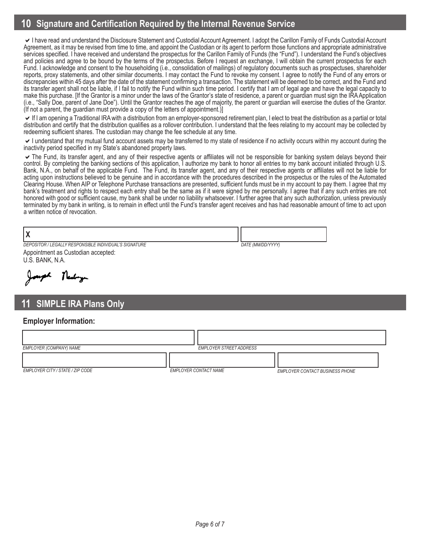# **10 Signature and Certification Required by the Internal Revenue Service**

I have read and understand the Disclosure Statement and Custodial Account Agreement. I adopt the Carillon Family of Funds Custodial Account Agreement, as it may be revised from time to time, and appoint the Custodian or its agent to perform those functions and appropriate administrative services specified. I have received and understand the prospectus for the Carillon Family of Funds (the "Fund"). I understand the Fund's objectives and policies and agree to be bound by the terms of the prospectus. Before I request an exchange, I will obtain the current prospectus for each Fund. I acknowledge and consent to the householding (i.e., consolidation of mailings) of regulatory documents such as prospectuses, shareholder reports, proxy statements, and other similar documents. I may contact the Fund to revoke my consent. I agree to notify the Fund of any errors or discrepancies within 45 days after the date of the statement confirming a transaction. The statement will be deemed to be correct, and the Fund and its transfer agent shall not be liable, if I fail to notify the Fund within such time period. I certify that I am of legal age and have the legal capacity to make this purchase. [If the Grantor is a minor under the laws of the Grantor's state of residence, a parent or guardian must sign the IRA Application (i.e., "Sally Doe, parent of Jane Doe"). Until the Grantor reaches the age of majority, the parent or guardian will exercise the duties of the Grantor. (If not a parent, the guardian must provide a copy of the letters of appointment.)]

If I am opening a Traditional IRA with a distribution from an employer-sponsored retirement plan, I elect to treat the distribution as a partial or total distribution and certify that the distribution qualifies as a rollover contribution. I understand that the fees relating to my account may be collected by redeeming sufficient shares. The custodian may change the fee schedule at any time.

I understand that my mutual fund account assets may be transferred to my state of residence if no activity occurs within my account during the inactivity period specified in my State's abandoned property laws.

The Fund, its transfer agent, and any of their respective agents or affiliates will not be responsible for banking system delays beyond their control. By completing the banking sections of this application, I authorize my bank to honor all entries to my bank account initiated through U.S. Bank, N.A., on behalf of the applicable Fund. The Fund, its transfer agent, and any of their respective agents or affiliates will not be liable for acting upon instructions believed to be genuine and in accordance with the procedures described in the prospectus or the rules of the Automated Clearing House. When AIP or Telephone Purchase transactions are presented, sufficient funds must be in my account to pay them. I agree that my bank's treatment and rights to respect each entry shall be the same as if it were signed by me personally. I agree that if any such entries are not honored with good or sufficient cause, my bank shall be under no liability whatsoever. I further agree that any such authorization, unless previously terminated by my bank in writing, is to remain in effect until the Fund's transfer agent receives and has had reasonable amount of time to act upon a written notice of revocation.

| DEPOSITOR / LEGALLY RESPONSIBLE INDIVIDUAL'S SIGNATURE | DATE (MM/DD/YYYY) |
|--------------------------------------------------------|-------------------|
| - - -                                                  |                   |

Appointment as Custodian accepted: U.S. BANK, N.A.

Thereby

## **11 SIMPLE IRA Plans Only**

#### **Employer Information:**

| EMPLOYER (COMPANY) NAME          | <b>EMPLOYER STREET ADDRESS</b> |                                 |
|----------------------------------|--------------------------------|---------------------------------|
|                                  |                                |                                 |
| EMPLOYER CITY / STATE / ZIP CODE | <b>EMPLOYER CONTACT NAME</b>   | EMPLOYER CONTACT BUSINESS PHONE |